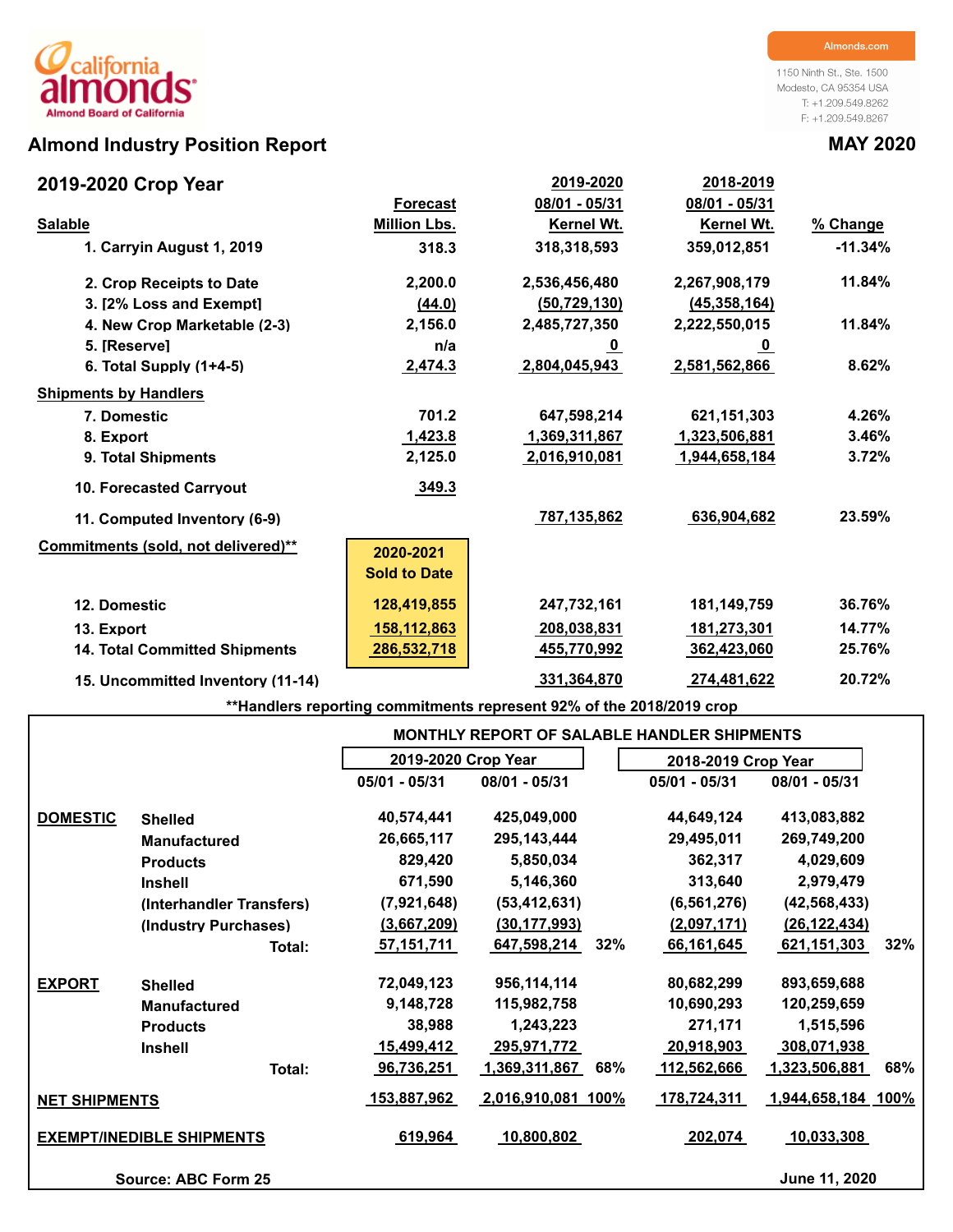# **Almond Industry Position Report MAY 2020**

## **2019-2020 Crop Year**

1150 Ninth St., Ste. 1500 Modesto, CA 95354 USA T: +1.209.549.8262 F: +1.209.549.8267

| 2019-2020 Crop Year                  |                     | 2019-2020      | 2018-2019               |           |
|--------------------------------------|---------------------|----------------|-------------------------|-----------|
|                                      | <b>Forecast</b>     | 08/01 - 05/31  | 08/01 - 05/31           |           |
| <b>Salable</b>                       | <b>Million Lbs.</b> | Kernel Wt.     | <b>Kernel Wt.</b>       | % Change  |
| 1. Carryin August 1, 2019            | 318.3               | 318,318,593    | 359,012,851             | $-11.34%$ |
| 2. Crop Receipts to Date             | 2,200.0             | 2,536,456,480  | 2,267,908,179           | 11.84%    |
| 3. [2% Loss and Exempt]              | (44.0)              | (50, 729, 130) | (45, 358, 164)          |           |
| 4. New Crop Marketable (2-3)         | 2,156.0             | 2,485,727,350  | 2,222,550,015           | 11.84%    |
| 5. [Reserve]                         | n/a                 | <u>_0</u>      | $\overline{\mathbf{0}}$ |           |
| 6. Total Supply $(1+4-5)$            | 2,474.3             | 2,804,045,943  | 2,581,562,866           | 8.62%     |
| <b>Shipments by Handlers</b>         |                     |                |                         |           |
| 7. Domestic                          | 701.2               | 647,598,214    | 621,151,303             | 4.26%     |
| 8. Export                            | 1,423.8             | 1,369,311,867  | 1,323,506,881           | 3.46%     |
| 9. Total Shipments                   | 2,125.0             | 2,016,910,081  | 1,944,658,184           | 3.72%     |
| <b>10. Forecasted Carrvout</b>       | 349.3               |                |                         |           |
| 11. Computed Inventory (6-9)         |                     | 787,135,862    | 636,904,682             | 23.59%    |
| Commitments (sold, not delivered)**  | 2020-2021           |                |                         |           |
|                                      | <b>Sold to Date</b> |                |                         |           |
| 12. Domestic                         | 128,419,855         | 247,732,161    | 181,149,759             | 36.76%    |
| 13. Export                           | 158,112,863         | 208,038,831    | 181,273,301             | 14.77%    |
| <b>14. Total Committed Shipments</b> | 286,532,718         | 455,770,992    | 362,423,060             | 25.76%    |
| 15. Uncommitted Inventory (11-14)    |                     | 331,364,870    | 274,481,622             | 20.72%    |

**\*\*Handlers reporting commitments represent 92% of the 2018/2019 crop**

|                      |                                  |                     |                    |     | <b>MONTHLY REPORT OF SALABLE HANDLER SHIPMENTS</b> |                    |     |
|----------------------|----------------------------------|---------------------|--------------------|-----|----------------------------------------------------|--------------------|-----|
|                      |                                  | 2019-2020 Crop Year |                    |     | 2018-2019 Crop Year                                |                    |     |
|                      |                                  | 05/01 - 05/31       | 08/01 - 05/31      |     | 05/01 - 05/31                                      | 08/01 - 05/31      |     |
| <b>DOMESTIC</b>      | <b>Shelled</b>                   | 40,574,441          | 425,049,000        |     | 44,649,124                                         | 413,083,882        |     |
|                      | <b>Manufactured</b>              | 26,665,117          | 295, 143, 444      |     | 29,495,011                                         | 269,749,200        |     |
|                      | <b>Products</b>                  | 829,420             | 5,850,034          |     | 362,317                                            | 4,029,609          |     |
|                      | <b>Inshell</b>                   | 671,590             | 5,146,360          |     | 313,640                                            | 2,979,479          |     |
|                      | (Interhandler Transfers)         | (7,921,648)         | (53, 412, 631)     |     | (6, 561, 276)                                      | (42, 568, 433)     |     |
|                      | (Industry Purchases)             | (3,667,209)         | (30, 177, 993)     |     | (2,097,171)                                        | (26, 122, 434)     |     |
|                      | Total:                           | <u>57,151,711</u>   | 647,598,214        | 32% | 66,161,645                                         | 621,151,303        | 32% |
| <b>EXPORT</b>        | <b>Shelled</b>                   | 72,049,123          | 956,114,114        |     | 80,682,299                                         | 893,659,688        |     |
|                      | <b>Manufactured</b>              | 9,148,728           | 115,982,758        |     | 10,690,293                                         | 120,259,659        |     |
|                      | <b>Products</b>                  | 38,988              | 1,243,223          |     | 271,171                                            | 1,515,596          |     |
|                      | <b>Inshell</b>                   | <u>15,499,412</u>   | <u>295,971,772</u> |     | 20,918,903                                         | <u>308,071,938</u> |     |
|                      | Total:                           | 96,736,251          | 1,369,311,867      | 68% | 112,562,666                                        | 1,323,506,881      | 68% |
| <b>NET SHIPMENTS</b> |                                  | 153,887,962         | 2,016,910,081 100% |     | 178,724,311                                        | 1,944,658,184 100% |     |
|                      | <b>EXEMPT/INEDIBLE SHIPMENTS</b> | 619,964             | 10,800,802         |     | 202,074                                            | 10,033,308         |     |
|                      | <b>Source: ABC Form 25</b>       |                     |                    |     |                                                    | June 11, 2020      |     |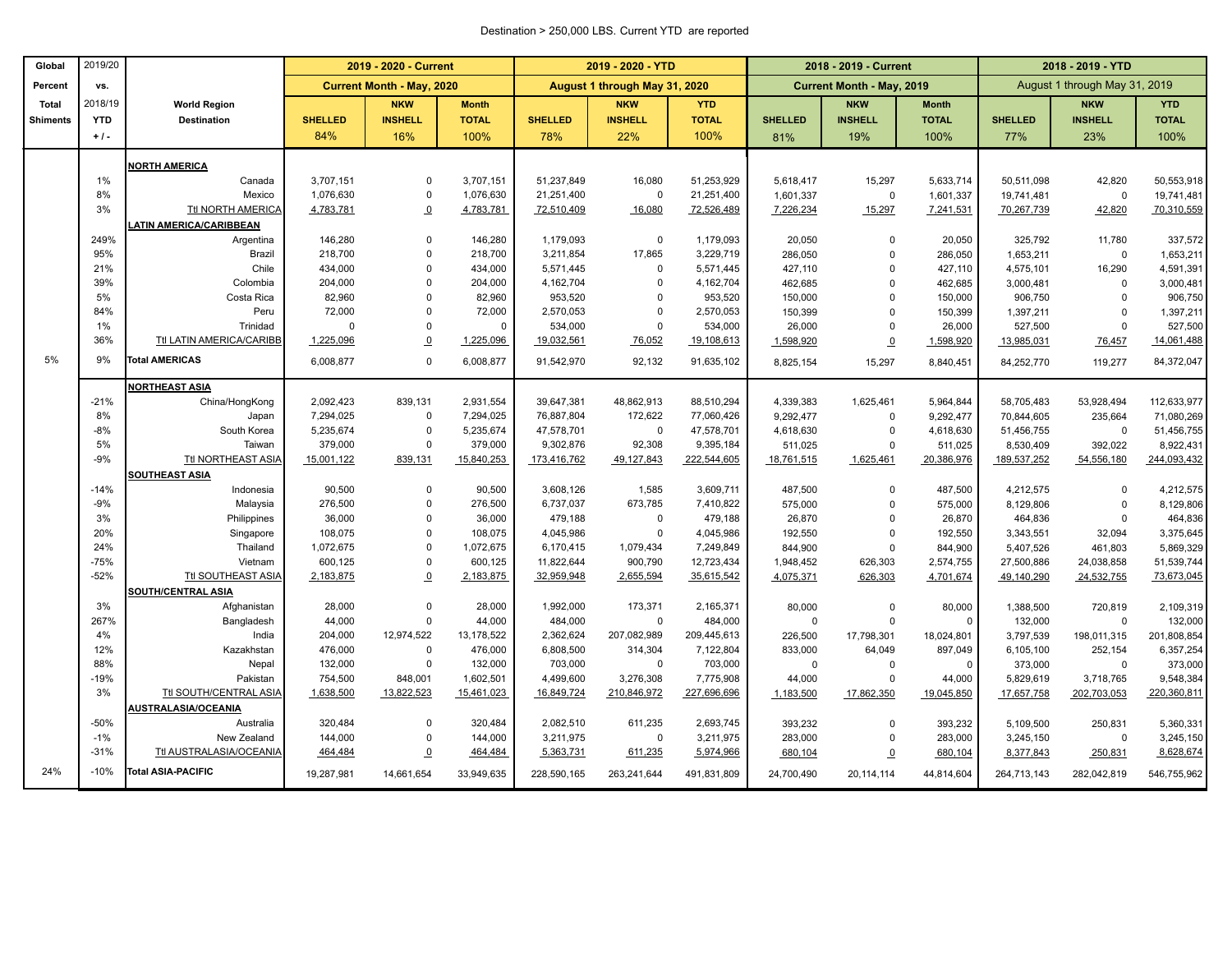### Destination > 250,000 LBS. Current YTD are reported

| Global          | 2019/20    |                               | 2019 - 2020 - Current |                                  |                      |                      | 2019 - 2020 - YTD             |                        |                    | 2018 - 2019 - Current            |                       | 2018 - 2019 - YTD      |                               |                          |  |
|-----------------|------------|-------------------------------|-----------------------|----------------------------------|----------------------|----------------------|-------------------------------|------------------------|--------------------|----------------------------------|-----------------------|------------------------|-------------------------------|--------------------------|--|
| Percent         | vs.        |                               |                       | <b>Current Month - May, 2020</b> |                      |                      | August 1 through May 31, 2020 |                        |                    | <b>Current Month - May, 2019</b> |                       |                        | August 1 through May 31, 2019 |                          |  |
| <b>Total</b>    | 2018/19    | <b>World Region</b>           |                       | <b>NKW</b>                       | <b>Month</b>         |                      | <b>NKW</b>                    | <b>YTD</b>             |                    | <b>NKW</b>                       | <b>Month</b>          |                        | <b>NKW</b>                    | <b>YTD</b>               |  |
| <b>Shiments</b> | <b>YTD</b> | <b>Destination</b>            | <b>SHELLED</b>        | <b>INSHELL</b>                   | <b>TOTAL</b>         | <b>SHELLED</b>       | <b>INSHELL</b>                | <b>TOTAL</b>           | <b>SHELLED</b>     | <b>INSHELL</b>                   | <b>TOTAL</b>          | <b>SHELLED</b>         | <b>INSHELL</b>                | <b>TOTAL</b>             |  |
|                 | $+1$ .     |                               | 84%                   | 16%                              | 100%                 | 78%                  | 22%                           | 100%                   | 81%                | 19%                              | 100%                  | 77%                    | 23%                           | 100%                     |  |
|                 |            | <b>NORTH AMERICA</b>          |                       |                                  |                      |                      |                               |                        |                    |                                  |                       |                        |                               |                          |  |
|                 | 1%         | Canada                        | 3,707,151             | $\mathbf 0$                      | 3,707,151            | 51,237,849           | 16,080                        | 51,253,929             | 5,618,417          | 15,297                           | 5,633,714             | 50,511,098             | 42,820                        | 50,553,918               |  |
|                 | 8%         | Mexico                        | 1,076,630             | $\mathbf 0$                      | 1,076,630            | 21,251,400           | $\pmb{0}$                     | 21,251,400             | 1,601,337          | $\mathbf 0$                      | 1,601,337             | 19,741,481             | $\mathbf 0$                   | 19,741,481               |  |
|                 | 3%         | <b>Ttl NORTH AMERICA</b>      | 4,783,781             | $\Omega$                         | 4,783,781            | 72,510,409           | 16,080                        | 72,526,489             | 7,226,234          | 15,297                           | 7,241,531             | 70,267,739             | 42,820                        | 70,310,559               |  |
|                 |            | <b>ATIN AMERICA/CARIBBEAN</b> |                       |                                  |                      |                      |                               |                        |                    |                                  |                       |                        |                               |                          |  |
|                 | 249%       | Argentina                     | 146,280               | $\mathbf 0$                      | 146,280              | 1,179,093            | $\mathbf 0$                   | 1,179,093              | 20,050             | $\mathbf 0$                      | 20,050                | 325,792                | 11,780                        | 337,572                  |  |
|                 | 95%        | Brazil                        | 218,700               | $\overline{0}$                   | 218,700              | 3,211,854            | 17,865                        | 3,229,719              | 286,050            | $\mathbf 0$                      | 286,050               | 1,653,211              | $\mathbf 0$                   | 1,653,211                |  |
|                 | 21%        | Chile                         | 434,000               | $\Omega$                         | 434,000              | 5,571,445            | $\mathbf 0$                   | 5,571,445              | 427,110            | $\Omega$                         | 427,110               | 4,575,101              | 16,290                        | 4,591,391                |  |
|                 | 39%        | Colombia                      | 204,000               | $\Omega$                         | 204,000              | 4,162,704            | $\Omega$                      | 4,162,704              | 462,685            | $\mathbf 0$                      | 462,685               | 3,000,481              | $\mathbf 0$                   | 3,000,481                |  |
|                 | 5%         | Costa Rica                    | 82,960                | $\overline{0}$                   | 82,960               | 953,520              | $\Omega$                      | 953,520                | 150,000            | $\mathbf 0$                      | 150,000               | 906,750                | $\overline{0}$                | 906,750                  |  |
|                 | 84%        | Peru                          | 72,000                | $\mathbf 0$                      | 72,000               | 2,570,053            | $\Omega$                      | 2,570,053              | 150,399            | $\mathbf 0$                      | 150,399               | 1,397,211              | $\mathbf 0$                   | 1,397,211                |  |
|                 | 1%         | Trinidad                      | $\Omega$              | $\mathbf 0$                      | $\mathbf 0$          | 534,000              | 0                             | 534,000                | 26,000             | $\mathbf 0$                      | 26,000                | 527,500                | $\overline{0}$                | 527,500                  |  |
|                 | 36%        | Ttl LATIN AMERICA/CARIBB      | 1,225,096             | $\Omega$                         | 1,225,096            | 19,032,561           | 76,052                        | 19,108,613             | 1,598,920          | $\overline{0}$                   | 1,598,920             | 13,985,031             | 76,457                        | 14,061,488               |  |
| 5%              | 9%         | <b>Total AMERICAS</b>         | 6,008,877             | $\mathbf 0$                      | 6,008,877            | 91,542,970           | 92,132                        | 91,635,102             | 8,825,154          | 15,297                           | 8,840,451             | 84,252,770             | 119,277                       | 84,372,047               |  |
|                 |            | <b>NORTHEAST ASIA</b>         |                       |                                  |                      |                      |                               |                        |                    |                                  |                       |                        |                               |                          |  |
|                 | $-21%$     | China/HongKong                | 2,092,423             | 839,131                          | 2,931,554            | 39,647,381           | 48,862,913                    | 88,510,294             | 4,339,383          | 1,625,461                        | 5,964,844             | 58,705,483             | 53,928,494                    | 112,633,977              |  |
|                 | 8%         | Japan                         | 7,294,025             | $\mathbf 0$                      | 7,294,025            | 76,887,804           | 172,622                       | 77,060,426             | 9,292,477          | $\Omega$                         | 9,292,477             | 70,844,605             | 235,664                       | 71,080,269               |  |
|                 | $-8%$      | South Korea                   | 5,235,674             | $\mathbf 0$                      | 5,235,674            | 47,578,701           | $\mathsf 0$                   | 47,578,701             | 4,618,630          | $\mathbf 0$                      | 4,618,630             | 51,456,755             | $\mathbf 0$                   | 51,456,755               |  |
|                 | 5%         | Taiwan                        | 379,000               | $\mathbf 0$                      | 379,000              | 9,302,876            | 92,308                        | 9,395,184              | 511,025            | $\mathbf 0$                      | 511,025               | 8,530,409              | 392,022                       | 8,922,431                |  |
|                 | $-9%$      | Ttl NORTHEAST ASIA            | 15,001,122            | 839,131                          | 15,840,253           | 173,416,762          | 49,127,843                    | 222,544,605            | 18,761,515         | 1,625,461                        | 20,386,976            | 189,537,252            | 54,556,180                    | 244,093,432              |  |
|                 |            | SOUTHEAST ASIA                |                       |                                  |                      |                      |                               |                        |                    |                                  |                       |                        |                               |                          |  |
|                 | $-14%$     | Indonesia                     | 90,500                | $\mathbf 0$                      | 90,500               | 3,608,126            | 1,585                         | 3,609,711              | 487,500            | $\Omega$                         | 487,500               | 4,212,575              | $\overline{0}$                | 4,212,575                |  |
|                 | $-9%$      | Malaysia                      | 276,500               | $\Omega$                         | 276,500              | 6,737,037            | 673,785                       | 7,410,822              | 575,000            | $\mathbf 0$                      | 575,000               | 8,129,806              | $\overline{0}$                | 8,129,806                |  |
|                 | 3%         | Philippines                   | 36,000                | $\mathbf 0$                      | 36,000               | 479,188              | $\mathbf 0$                   | 479,188                | 26,870             | $\mathbf 0$                      | 26,870                | 464,836                | $\mathbf 0$                   | 464,836                  |  |
|                 | 20%        | Singapore                     | 108,075               | $\overline{0}$                   | 108,075              | 4,045,986            | $\mathbf 0$                   | 4,045,986              | 192,550            | $\mathbf 0$                      | 192,550               | 3,343,551              | 32,094                        | 3,375,645                |  |
|                 | 24%        | Thailand                      | 1,072,675             | $\mathbf 0$                      | 1,072,675            | 6,170,415            | 1,079,434                     | 7,249,849              | 844,900            | $\mathbf 0$                      | 844,900               | 5,407,526              | 461,803                       | 5,869,329                |  |
|                 | $-75%$     | Vietnam                       | 600,125               | $\mathbf 0$                      | 600,125              | 11,822,644           | 900,790                       | 12,723,434             | 1,948,452          | 626,303                          | 2,574,755             | 27,500,886             | 24,038,858                    | 51,539,744               |  |
|                 | $-52%$     | Ttl SOUTHEAST ASIA            | 2,183,875             | $\overline{0}$                   | 2,183,875            | 32,959,948           | 2,655,594                     | 35,615,542             | 4,075,371          | 626,303                          | 4,701,674             | 49,140,290             | 24,532,755                    | 73,673,045               |  |
|                 |            | <b>SOUTH/CENTRAL ASIA</b>     |                       |                                  |                      |                      |                               |                        |                    |                                  |                       |                        |                               |                          |  |
|                 | 3%<br>267% | Afghanistan                   | 28,000                | $\mathbf 0$<br>$\mathbf 0$       | 28,000               | 1,992,000            | 173,371                       | 2,165,371              | 80,000             | 0                                | 80,000                | 1,388,500              | 720,819                       | 2,109,319                |  |
|                 | 4%         | Bangladesh<br>India           | 44,000<br>204,000     | 12,974,522                       | 44,000<br>13,178,522 | 484,000<br>2,362,624 | $\mathbf 0$<br>207,082,989    | 484,000<br>209,445,613 | $\mathbf 0$        | $\mathbf 0$                      | $\mathbf 0$           | 132,000                | $\mathbf 0$                   | 132,000                  |  |
|                 | 12%        | Kazakhstan                    | 476,000               | $\mathbf 0$                      | 476,000              | 6,808,500            | 314,304                       | 7,122,804              | 226,500<br>833,000 | 17,798,301<br>64,049             | 18,024,801<br>897,049 | 3,797,539<br>6,105,100 | 198,011,315<br>252,154        | 201,808,854<br>6,357,254 |  |
|                 | 88%        | Nepal                         | 132,000               | $\mathbf 0$                      | 132,000              | 703,000              | $\mathbf 0$                   | 703,000                | $\mathbf 0$        | $\mathbf 0$                      | 0                     | 373,000                | $\mathbf 0$                   | 373,000                  |  |
|                 | $-19%$     | Pakistan                      | 754,500               | 848,001                          | 1,602,501            | 4,499,600            | 3,276,308                     | 7,775,908              | 44,000             | $\mathbf 0$                      | 44,000                | 5,829,619              | 3,718,765                     | 9,548,384                |  |
|                 | 3%         | Ttl SOUTH/CENTRAL ASIA        | 1,638,500             | 13,822,523                       | 15,461,023           | 16,849,724           | 210,846,972                   | 227,696,696            | 1,183,500          | 17,862,350                       | 19,045,850            | 17,657,758             | 202,703,053                   | 220,360,811              |  |
|                 |            | AUSTRALASIA/OCEANIA           |                       |                                  |                      |                      |                               |                        |                    |                                  |                       |                        |                               |                          |  |
|                 | $-50%$     | Australia                     | 320,484               | $\mathbf 0$                      | 320,484              | 2,082,510            | 611,235                       | 2,693,745              | 393,232            | $\mathbf 0$                      | 393,232               | 5,109,500              | 250,831                       | 5,360,331                |  |
|                 | $-1%$      | New Zealand                   | 144,000               | $\mathbf 0$                      | 144,000              | 3,211,975            | $\mathsf 0$                   | 3,211,975              | 283,000            | $\mathbf 0$                      | 283,000               | 3,245,150              | $\mathbf 0$                   | 3,245,150                |  |
|                 | $-31%$     | Ttl AUSTRALASIA/OCEANIA       | 464,484               | $\overline{0}$                   | 464,484              | 5,363,731            | 611,235                       | 5,974,966              | 680,104            | $\overline{0}$                   | 680,104               | 8,377,843              | 250,831                       | 8,628,674                |  |
| 24%             | $-10%$     | <b>Total ASIA-PACIFIC</b>     | 19,287,981            | 14,661,654                       | 33,949,635           | 228,590,165          | 263,241,644                   | 491,831,809            | 24,700,490         | 20,114,114                       | 44,814,604            | 264,713,143            | 282,042,819                   | 546,755,962              |  |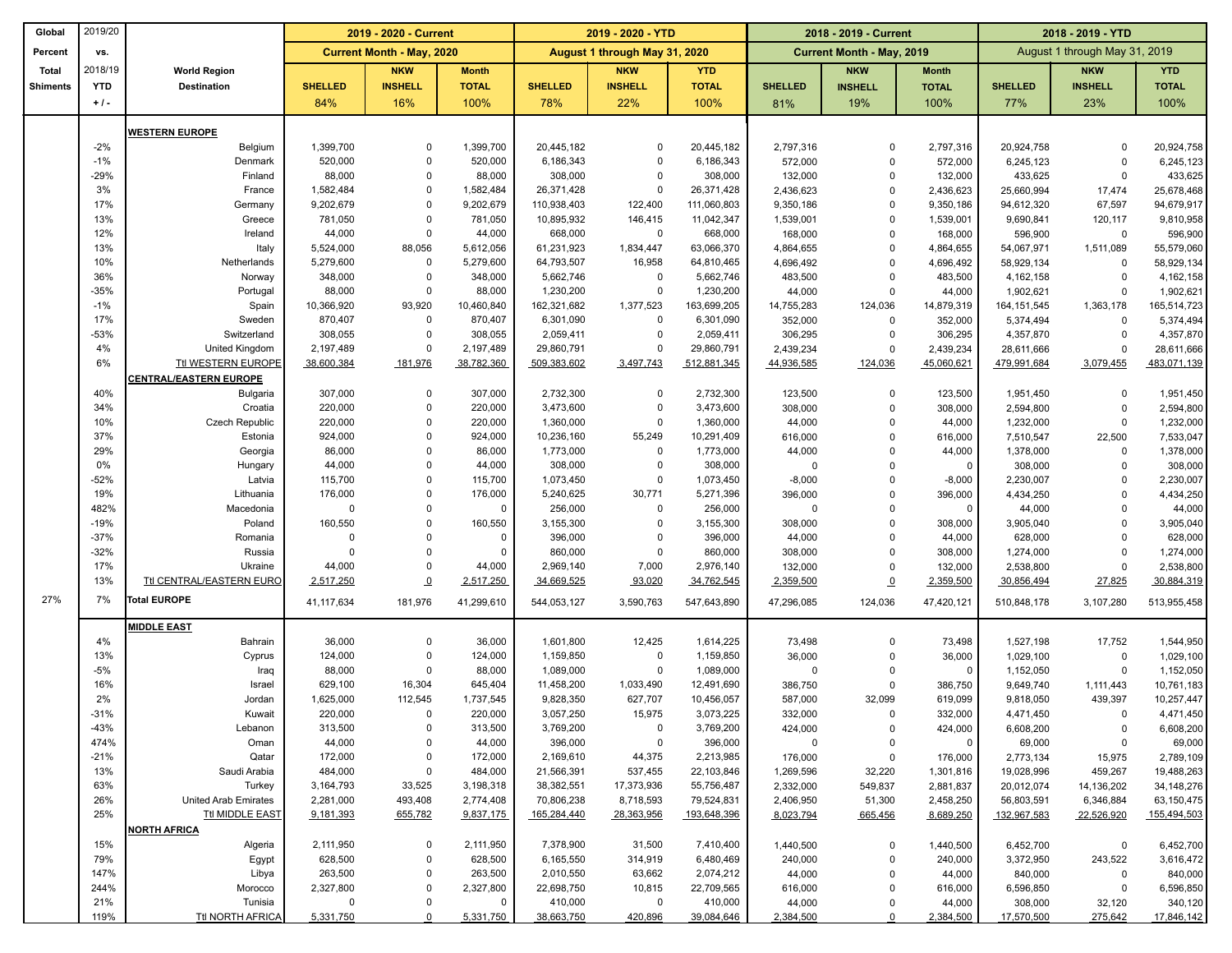| Global          | 2019/20          |                               | 2019 - 2020 - Current            |                            |                      | 2019 - 2020 - YTD       |                               |                         | 2018 - 2019 - Current |                                  | 2018 - 2019 - YTD    |                               |                       |                         |
|-----------------|------------------|-------------------------------|----------------------------------|----------------------------|----------------------|-------------------------|-------------------------------|-------------------------|-----------------------|----------------------------------|----------------------|-------------------------------|-----------------------|-------------------------|
| Percent         | VS.              |                               | <b>Current Month - May, 2020</b> |                            |                      |                         | August 1 through May 31, 2020 |                         |                       | <b>Current Month - May, 2019</b> |                      | August 1 through May 31, 2019 |                       |                         |
| <b>Total</b>    | 2018/19          | <b>World Region</b>           |                                  | <b>NKW</b>                 | <b>Month</b>         |                         | <b>NKW</b>                    | <b>YTD</b>              |                       | <b>NKW</b>                       | <b>Month</b>         |                               | <b>NKW</b>            | <b>YTD</b>              |
| <b>Shiments</b> | YTD              | <b>Destination</b>            | <b>SHELLED</b>                   | <b>INSHELL</b>             | <b>TOTAL</b>         | <b>SHELLED</b>          | <b>INSHELL</b>                | <b>TOTAL</b>            | <b>SHELLED</b>        | <b>INSHELL</b>                   | <b>TOTAL</b>         | <b>SHELLED</b>                | <b>INSHELL</b>        | <b>TOTAL</b>            |
|                 | $+1$ .           |                               | 84%                              | 16%                        | 100%                 | 78%                     | 22%                           | 100%                    | 81%                   | 19%                              | 100%                 | 77%                           | 23%                   | 100%                    |
|                 |                  |                               |                                  |                            |                      |                         |                               |                         |                       |                                  |                      |                               |                       |                         |
|                 | $-2%$            | <b>WESTERN EUROPE</b>         | 1,399,700                        | $\mathbf 0$                | 1,399,700            | 20,445,182              | $\overline{0}$                | 20,445,182              |                       | $\Omega$                         |                      |                               |                       |                         |
|                 | $-1%$            | Belgium<br>Denmark            | 520,000                          | $\mathbf 0$                | 520,000              | 6,186,343               | $\overline{0}$                | 6,186,343               | 2,797,316<br>572,000  | $\mathbf 0$                      | 2,797,316<br>572,000 | 20,924,758<br>6,245,123       | $\Omega$<br>$\Omega$  | 20,924,758<br>6,245,123 |
|                 | $-29%$           | Finland                       | 88,000                           | $\mathbf 0$                | 88,000               | 308,000                 | $\mathbf 0$                   | 308,000                 | 132,000               | $\mathbf 0$                      | 132,000              | 433,625                       | $\Omega$              | 433,625                 |
|                 | 3%               | France                        | 1,582,484                        | $\mathbf 0$                | 1,582,484            | 26,371,428              | $\mathbf 0$                   | 26,371,428              | 2,436,623             | $\mathbf 0$                      | 2,436,623            | 25,660,994                    | 17,474                | 25,678,468              |
|                 | 17%              | Germany                       | 9,202,679                        | $\mathbf 0$                | 9,202,679            | 110,938,403             | 122,400                       | 111,060,803             | 9,350,186             | $\mathbf 0$                      | 9,350,186            | 94,612,320                    | 67,597                | 94,679,917              |
|                 | 13%              | Greece                        | 781,050                          | $\mathbf 0$                | 781,050              | 10,895,932              | 146,415                       | 11,042,347              | 1,539,001             | $\mathbf 0$                      | 1,539,001            | 9,690,841                     | 120,117               | 9,810,958               |
|                 | 12%              | Ireland                       | 44,000                           | $\mathbf 0$                | 44,000               | 668,000                 | $\mathbf 0$                   | 668,000                 | 168,000               | $\mathbf 0$                      | 168,000              | 596,900                       | $\mathbf 0$           | 596,900                 |
|                 | 13%              | Italy                         | 5,524,000                        | 88,056                     | 5,612,056            | 61,231,923              | 1,834,447                     | 63,066,370              | 4,864,655             | $\mathbf 0$                      | 4,864,655            | 54,067,971                    | 1,511,089             | 55,579,060              |
|                 | 10%<br>36%       | Netherlands<br>Norway         | 5,279,600<br>348,000             | $\mathbf 0$<br>$\mathbf 0$ | 5,279,600<br>348,000 | 64,793,507<br>5,662,746 | 16,958<br>$\mathbf 0$         | 64,810,465<br>5,662,746 | 4,696,492<br>483,500  | $\mathbf 0$<br>$\mathbf 0$       | 4,696,492<br>483,500 | 58,929,134<br>4, 162, 158     | $\Omega$<br>$\Omega$  | 58,929,134<br>4,162,158 |
|                 | $-35%$           | Portugal                      | 88,000                           | $\mathbf 0$                | 88,000               | 1,230,200               | $\mathbf 0$                   | 1,230,200               | 44,000                | $\mathbf 0$                      | 44,000               | 1,902,621                     | $\Omega$              | 1,902,621               |
|                 | $-1%$            | Spain                         | 10,366,920                       | 93,920                     | 10,460,840           | 162,321,682             | 1,377,523                     | 163,699,205             | 14,755,283            | 124,036                          | 14,879,319           | 164,151,545                   | 1,363,178             | 165,514,723             |
|                 | 17%              | Sweden                        | 870,407                          | $\mathbf 0$                | 870,407              | 6,301,090               | $\mathbf 0$                   | 6,301,090               | 352,000               | $\Omega$                         | 352,000              | 5,374,494                     | $\Omega$              | 5,374,494               |
|                 | $-53%$           | Switzerland                   | 308,055                          | $\mathbf 0$                | 308,055              | 2,059,411               | $\mathbf 0$                   | 2,059,411               | 306,295               | $\Omega$                         | 306,295              | 4,357,870                     | $\Omega$              | 4,357,870               |
|                 | 4%               | United Kingdom                | 2,197,489                        | $\mathbf 0$                | 2,197,489            | 29,860,791              | $\mathbf 0$                   | 29,860,791              | 2,439,234             | $\mathbf 0$                      | 2,439,234            | 28,611,666                    | $\Omega$              | 28,611,666              |
|                 | 6%               | Ttl WESTERN EUROPE            | 38,600,384                       | 181,976                    | 38,782,360           | 509,383,602             | 3,497,743                     | 512,881,345             | 44,936,585            | 124,036                          | 45,060,621           | 479,991,684                   | 3,079,455             | 483,071,139             |
|                 |                  | <b>CENTRAL/EASTERN EUROPE</b> |                                  |                            |                      |                         |                               |                         |                       |                                  |                      |                               |                       |                         |
|                 | 40%<br>34%       | <b>Bulgaria</b><br>Croatia    | 307,000<br>220,000               | $\mathbf 0$<br>$\mathbf 0$ | 307,000<br>220,000   | 2,732,300<br>3,473,600  | $\mathbf 0$<br>$\mathbf 0$    | 2,732,300<br>3,473,600  | 123,500               | $\mathbf 0$<br>$\mathbf 0$       | 123,500              | 1,951,450                     | $\Omega$<br>$\Omega$  | 1,951,450               |
|                 | 10%              | Czech Republic                | 220,000                          | $\mathbf 0$                | 220,000              | 1,360,000               | $\mathbf 0$                   | 1,360,000               | 308,000<br>44,000     | $\Omega$                         | 308,000<br>44,000    | 2,594,800<br>1,232,000        | $\Omega$              | 2,594,800<br>1,232,000  |
|                 | 37%              | Estonia                       | 924,000                          | $\mathbf 0$                | 924,000              | 10,236,160              | 55,249                        | 10,291,409              | 616,000               | $\Omega$                         | 616,000              | 7,510,547                     | 22,500                | 7,533,047               |
|                 | 29%              | Georgia                       | 86,000                           | $\mathbf 0$                | 86,000               | 1,773,000               | $\mathbf 0$                   | 1,773,000               | 44,000                | 0                                | 44,000               | 1,378,000                     | $\mathbf 0$           | 1,378,000               |
|                 | 0%               | Hungary                       | 44,000                           | $\Omega$                   | 44,000               | 308,000                 | $\mathbf 0$                   | 308,000                 | $\Omega$              | $\Omega$                         | 0                    | 308,000                       | $\Omega$              | 308,000                 |
|                 | $-52%$           | Latvia                        | 115,700                          | $\mathbf 0$                | 115,700              | 1,073,450               | $\mathbf 0$                   | 1,073,450               | $-8,000$              | $\mathbf 0$                      | $-8,000$             | 2,230,007                     | $\mathbf 0$           | 2,230,007               |
|                 | 19%              | Lithuania                     | 176,000                          | $\mathbf 0$                | 176,000              | 5,240,625               | 30,771                        | 5,271,396               | 396,000               | $\mathbf 0$                      | 396,000              | 4,434,250                     | $\Omega$              | 4,434,250               |
|                 | 482%             | Macedonia                     | $\overline{0}$                   | $\mathbf 0$                | 0                    | 256,000                 | $\overline{0}$                | 256,000                 | $\Omega$              | $\mathbf 0$                      | $^{\circ}$           | 44,000                        | $\Omega$              | 44,000                  |
|                 | $-19%$<br>$-37%$ | Poland<br>Romania             | 160,550<br>$\Omega$              | $\Omega$<br>$\mathbf 0$    | 160,550<br>0         | 3,155,300<br>396,000    | $\mathbf 0$<br>$\mathbf 0$    | 3,155,300<br>396,000    | 308,000<br>44,000     | $\mathbf 0$<br>$\mathbf 0$       | 308,000<br>44,000    | 3,905,040<br>628,000          | $\Omega$<br>$\Omega$  | 3,905,040<br>628,000    |
|                 | $-32%$           | Russia                        | $\Omega$                         | $\mathbf 0$                | 0                    | 860,000                 | $\mathbf 0$                   | 860,000                 | 308,000               | $\mathbf 0$                      | 308,000              | 1,274,000                     | $\Omega$              | 1,274,000               |
|                 | 17%              | Ukraine                       | 44,000                           | $\mathbf 0$                | 44,000               | 2,969,140               | 7,000                         | 2,976,140               | 132,000               | $\mathbf 0$                      | 132,000              | 2,538,800                     | $\Omega$              | 2,538,800               |
|                 | 13%              | Ttl CENTRAL/EASTERN EURO      | 2,517,250                        | $\underline{0}$            | 2,517,250            | 34,669,525              | 93,020                        | 34,762,545              | 2,359,500             | $\overline{0}$                   | 2,359,500            | 30,856,494                    | 27,825                | 30,884,319              |
| 27%             | 7%               | Total EUROPE                  | 41,117,634                       | 181,976                    | 41,299,610           | 544,053,127             | 3,590,763                     | 547,643,890             | 47,296,085            | 124,036                          | 47,420,121           | 510,848,178                   | 3,107,280             | 513,955,458             |
|                 |                  | <b>MIDDLE EAST</b>            |                                  |                            |                      |                         |                               |                         |                       |                                  |                      |                               |                       |                         |
|                 | 4%               | Bahrain                       | 36,000                           | $\mathbf 0$                | 36,000               | 1,601,800               | 12,425                        | 1,614,225               | 73,498                | $\Omega$                         | 73,498               | 1,527,198                     | 17,752                | 1,544,950               |
|                 | 13%              | Cyprus                        | 124,000                          | $\mathbf 0$                | 124,000              | 1,159,850               | $\mathbf 0$                   | 1,159,850               | 36,000                | $\mathbf 0$                      | 36,000               | 1,029,100                     | $\Omega$              | 1,029,100               |
|                 | $-5%$            | Iraq                          | 88,000                           | $\mathbf 0$                | 88,000               | 1,089,000               | $\mathbf 0$                   | 1,089,000               | $\mathbf 0$           | $\Omega$                         | 0                    | 1,152,050                     | $\Omega$              | 1,152,050               |
|                 | 16%              | Israel                        | 629,100                          | 16,304                     | 645,404              | 11,458,200              | 1,033,490                     | 12,491,690              | 386,750               | $\mathbf 0$                      | 386,750              | 9,649,740                     | 1,111,443             | 10,761,183              |
|                 | 2%               | Jordan                        | 1,625,000                        | 112,545                    | 1,737,545            | 9,828,350               | 627,707                       | 10,456,057              | 587,000               | 32,099                           | 619,099              | 9,818,050                     | 439,397               | 10,257,447              |
|                 | $-31%$           | Kuwait                        | 220,000                          | $\mathbf 0$                | 220,000              | 3,057,250               | 15,975                        | 3,073,225               | 332,000               | $\Omega$                         | 332,000              | 4,471,450                     | $\Omega$              | 4,471,450               |
|                 | $-43%$           | Lebanon                       | 313,500                          | 0                          | 313,500              | 3,769,200               | $\overline{0}$                | 3,769,200               | 424,000               | 0                                | 424,000              | 6,608,200                     | $\mathbf 0$           | 6,608,200               |
|                 | 474%<br>$-21%$   | Oman                          | 44,000                           | 0<br>0                     | 44,000               | 396,000                 | $\overline{0}$                | 396,000                 | 0                     | $\mathbf 0$                      | $^{\circ}$           | 69,000                        | $\mathbf 0$           | 69,000                  |
|                 | 13%              | Qatar<br>Saudi Arabia         | 172,000<br>484,000               | $\mathbf 0$                | 172,000<br>484,000   | 2,169,610<br>21,566,391 | 44,375<br>537,455             | 2,213,985<br>22,103,846 | 176,000<br>1,269,596  | 0<br>32,220                      | 176,000<br>1,301,816 | 2,773,134<br>19,028,996       | 15,975<br>459,267     | 2,789,109<br>19,488,263 |
|                 | 63%              | Turkey                        | 3,164,793                        | 33,525                     | 3,198,318            | 38,382,551              | 17,373,936                    | 55,756,487              | 2,332,000             | 549,837                          | 2,881,837            | 20,012,074                    | 14,136,202            | 34, 148, 276            |
|                 | 26%              | United Arab Emirates          | 2,281,000                        | 493,408                    | 2,774,408            | 70,806,238              | 8,718,593                     | 79,524,831              | 2,406,950             | 51,300                           | 2,458,250            | 56,803,591                    | 6,346,884             | 63,150,475              |
|                 | 25%              | <b>Ttl MIDDLE EAST</b>        | 9,181,393                        | 655,782                    | 9,837,175            | 165,284,440             | 28,363,956                    | 193,648,396             | 8,023,794             | 665,456                          | 8,689,250            | 132,967,583                   | 22,526,920            | 155,494,503             |
|                 |                  | NORTH AFRICA                  |                                  |                            |                      |                         |                               |                         |                       |                                  |                      |                               |                       |                         |
|                 | 15%              | Algeria                       | 2,111,950                        | 0                          | 2,111,950            | 7,378,900               | 31,500                        | 7,410,400               | 1,440,500             | 0                                | 1,440,500            | 6,452,700                     | 0                     | 6,452,700               |
|                 | 79%              | Egypt                         | 628,500                          | $\mathbf 0$                | 628,500              | 6,165,550               | 314,919                       | 6,480,469               | 240,000               | $\mathbf 0$                      | 240,000              | 3,372,950                     | 243,522               | 3,616,472               |
|                 | 147%             | Libya                         | 263,500                          | 0                          | 263,500              | 2,010,550               | 63,662                        | 2,074,212               | 44,000                | $\mathbf 0$                      | 44,000               | 840,000                       | 0                     | 840,000                 |
|                 | 244%<br>21%      | Morocco<br>Tunisia            | 2,327,800<br>$\mathbf 0$         | $\mathbf 0$<br>$\mathbf 0$ | 2,327,800<br>0       | 22,698,750<br>410,000   | 10,815<br>$\mathbf 0$         | 22,709,565<br>410,000   | 616,000<br>44,000     | $\mathbf 0$<br>$\mathbf 0$       | 616,000<br>44,000    | 6,596,850<br>308,000          | $\mathbf 0$<br>32,120 | 6,596,850<br>340,120    |
|                 | 119%             | Ttl NORTH AFRICA              | 5,331,750                        | $\Omega$                   | 5,331,750            | 38,663,750              | 420,896                       | 39,084,646              | 2,384,500             | $\Omega$                         | 2,384,500            | 17,570,500                    | 275,642               | 17,846,142              |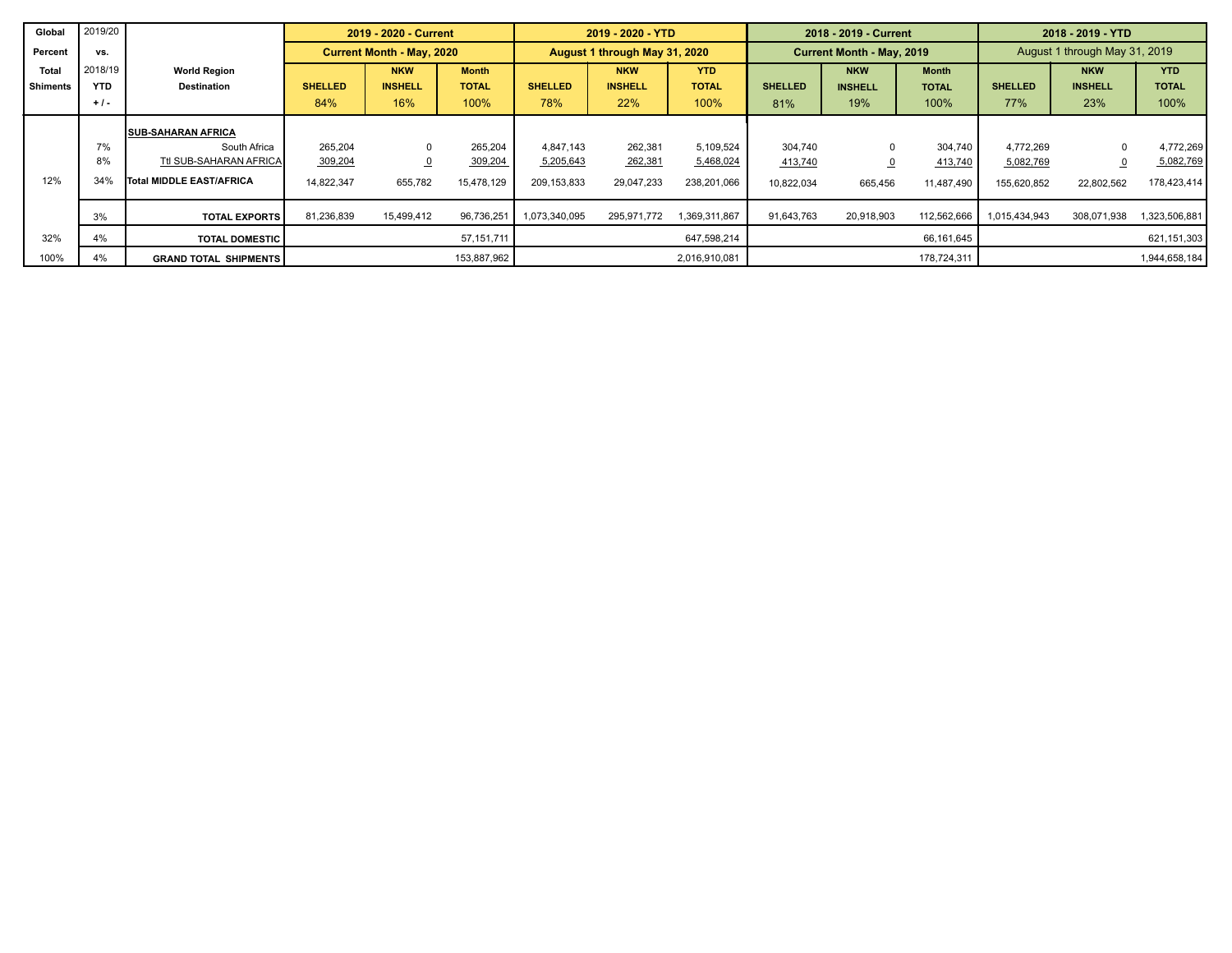| Global          | 2019/20    |                              |                                  | 2019 - 2020 - Current   |              |                | 2019 - 2020 - YTD             |               |                | 2018 - 2019 - Current     |              | 2018 - 2019 - YTD             |                |               |  |
|-----------------|------------|------------------------------|----------------------------------|-------------------------|--------------|----------------|-------------------------------|---------------|----------------|---------------------------|--------------|-------------------------------|----------------|---------------|--|
| Percent         | VS.        |                              | <b>Current Month - May, 2020</b> |                         |              |                | August 1 through May 31, 2020 |               |                | Current Month - May, 2019 |              | August 1 through May 31, 2019 |                |               |  |
| Total           | 2018/19    | <b>World Region</b>          |                                  | <b>NKW</b>              | <b>Month</b> |                | <b>NKW</b>                    | <b>YTD</b>    |                | <b>NKW</b>                | <b>Month</b> |                               | <b>NKW</b>     | <b>YTD</b>    |  |
| <b>Shiments</b> | <b>YTD</b> | <b>Destination</b>           | <b>SHELLED</b>                   | <b>INSHELL</b>          | <b>TOTAL</b> | <b>SHELLED</b> | <b>INSHELL</b>                | <b>TOTAL</b>  | <b>SHELLED</b> | <b>INSHELL</b>            | <b>TOTAL</b> | <b>SHELLED</b>                | <b>INSHELL</b> | <b>TOTAL</b>  |  |
|                 | $+1$ .     |                              | 84%                              | 16%                     | 100%         | 78%            | 22%                           | 100%          | 81%            | 19%                       | 100%         | 77%                           | 23%            | 100%          |  |
|                 |            | <b>SUB-SAHARAN AFRICA</b>    |                                  |                         |              |                |                               |               |                |                           |              |                               |                |               |  |
|                 | 7%         | South Africa                 | 265.204                          | $\Omega$                | 265,204      | 4.847.143      | 262,381                       | 5,109,524     | 304.740        |                           | 304,740      | 4.772.269                     | $\Omega$       | 4,772,269     |  |
|                 | 8%         | Ttl SUB-SAHARAN AFRICA       | 309,204                          | $\overline{\mathbf{0}}$ | 309,204      | 5,205,643      | 262,381                       | 5,468,024     | 413,740        |                           | 413,740      | 5,082,769                     |                | 5,082,769     |  |
| 12%             | 34%        | Total MIDDLE EAST/AFRICA     | 14,822,347                       | 655,782                 | 15,478,129   | 209,153,833    | 29,047,233                    | 238,201,066   | 10,822,034     | 665,456                   | 11,487,490   | 155,620,852                   | 22,802,562     | 178,423,414   |  |
|                 | 3%         | <b>TOTAL EXPORTS</b>         | 81,236,839                       | 15,499,412              | 96,736,251   | 1,073,340,095  | 295,971,772                   | 1,369,311,867 | 91,643,763     | 20,918,903                | 112,562,666  | 1,015,434,943                 | 308,071,938    | 1,323,506,881 |  |
| 32%             | 4%         | <b>TOTAL DOMESTIC</b>        |                                  |                         | 57,151,711   |                |                               | 647,598,214   |                |                           | 66,161,645   |                               |                | 621,151,303   |  |
| 100%            | 4%         | <b>GRAND TOTAL SHIPMENTS</b> |                                  |                         | 153,887,962  |                |                               | 2,016,910,081 |                |                           | 178,724,311  |                               |                | 1,944,658,184 |  |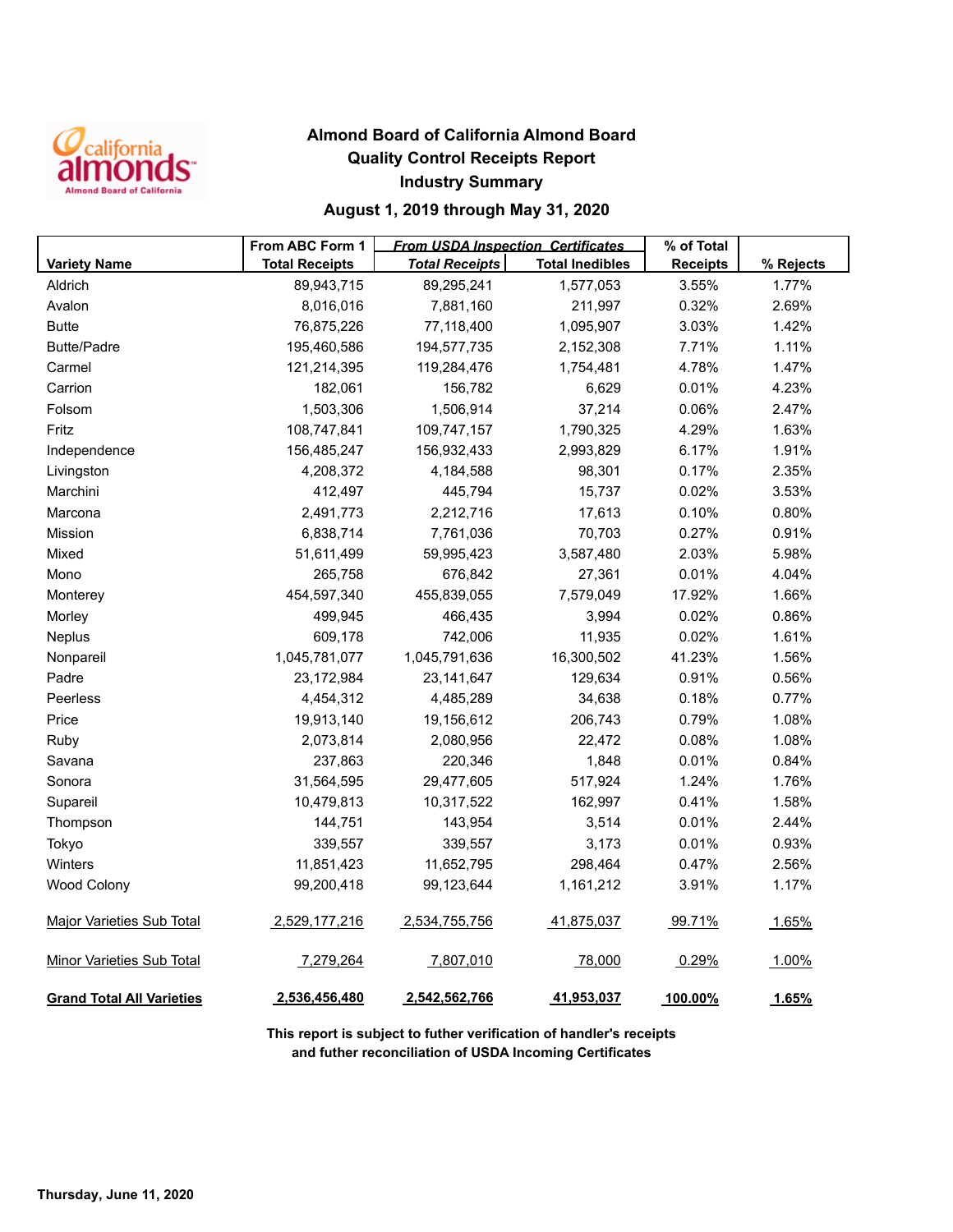

## **Almond Board of California Almond Board Quality Control Receipts Report Industry Summary**

## **August 1, 2019 through May 31, 2020**

|                                  | From ABC Form 1       | <b>From USDA Inspection Certificates</b> |                        | % of Total      |           |
|----------------------------------|-----------------------|------------------------------------------|------------------------|-----------------|-----------|
| <b>Variety Name</b>              | <b>Total Receipts</b> | <b>Total Receipts</b>                    | <b>Total Inedibles</b> | <b>Receipts</b> | % Rejects |
| Aldrich                          | 89,943,715            | 89,295,241                               | 1,577,053              | 3.55%           | 1.77%     |
| Avalon                           | 8,016,016             | 7,881,160                                | 211,997                | 0.32%           | 2.69%     |
| <b>Butte</b>                     | 76,875,226            | 77,118,400                               | 1,095,907              | 3.03%           | 1.42%     |
| <b>Butte/Padre</b>               | 195,460,586           | 194,577,735                              | 2,152,308              | 7.71%           | 1.11%     |
| Carmel                           | 121,214,395           | 119,284,476                              | 1,754,481              | 4.78%           | 1.47%     |
| Carrion                          | 182,061               | 156,782                                  | 6,629                  | 0.01%           | 4.23%     |
| Folsom                           | 1,503,306             | 1,506,914                                | 37,214                 | 0.06%           | 2.47%     |
| Fritz                            | 108,747,841           | 109,747,157                              | 1,790,325              | 4.29%           | 1.63%     |
| Independence                     | 156,485,247           | 156,932,433                              | 2,993,829              | 6.17%           | 1.91%     |
| Livingston                       | 4,208,372             | 4,184,588                                | 98,301                 | 0.17%           | 2.35%     |
| Marchini                         | 412,497               | 445,794                                  | 15,737                 | 0.02%           | 3.53%     |
| Marcona                          | 2,491,773             | 2,212,716                                | 17,613                 | 0.10%           | 0.80%     |
| Mission                          | 6,838,714             | 7,761,036                                | 70,703                 | 0.27%           | 0.91%     |
| Mixed                            | 51,611,499            | 59,995,423                               | 3,587,480              | 2.03%           | 5.98%     |
| Mono                             | 265,758               | 676,842                                  | 27,361                 | 0.01%           | 4.04%     |
| Monterey                         | 454,597,340           | 455,839,055                              | 7,579,049              | 17.92%          | 1.66%     |
| Morley                           | 499,945               | 466,435                                  | 3,994                  | 0.02%           | 0.86%     |
| Neplus                           | 609,178               | 742,006                                  | 11,935                 | 0.02%           | 1.61%     |
| Nonpareil                        | 1,045,781,077         | 1,045,791,636                            | 16,300,502             | 41.23%          | 1.56%     |
| Padre                            | 23,172,984            | 23, 141, 647                             | 129,634                | 0.91%           | 0.56%     |
| Peerless                         | 4,454,312             | 4,485,289                                | 34,638                 | 0.18%           | 0.77%     |
| Price                            | 19,913,140            | 19,156,612                               | 206,743                | 0.79%           | 1.08%     |
| Ruby                             | 2,073,814             | 2,080,956                                | 22,472                 | 0.08%           | 1.08%     |
| Savana                           | 237,863               | 220,346                                  | 1,848                  | 0.01%           | 0.84%     |
| Sonora                           | 31,564,595            | 29,477,605                               | 517,924                | 1.24%           | 1.76%     |
| Supareil                         | 10,479,813            | 10,317,522                               | 162,997                | 0.41%           | 1.58%     |
| Thompson                         | 144,751               | 143,954                                  | 3,514                  | 0.01%           | 2.44%     |
| Tokyo                            | 339,557               | 339,557                                  | 3,173                  | 0.01%           | 0.93%     |
| Winters                          | 11,851,423            | 11,652,795                               | 298,464                | 0.47%           | 2.56%     |
| <b>Wood Colony</b>               | 99,200,418            | 99,123,644                               | 1,161,212              | 3.91%           | 1.17%     |
| <b>Major Varieties Sub Total</b> | 2,529,177,216         | 2,534,755,756                            | 41,875,037             | 99.71%          | 1.65%     |
| <b>Minor Varieties Sub Total</b> | 7,279,264             | 7,807,010                                | 78,000                 | 0.29%           | 1.00%     |
| <b>Grand Total All Varieties</b> | 2,536,456,480         | 2,542,562,766                            | 41,953,037             | 100.00%         | 1.65%     |

**This report is subject to futher verification of handler's receipts and futher reconciliation of USDA Incoming Certificates**